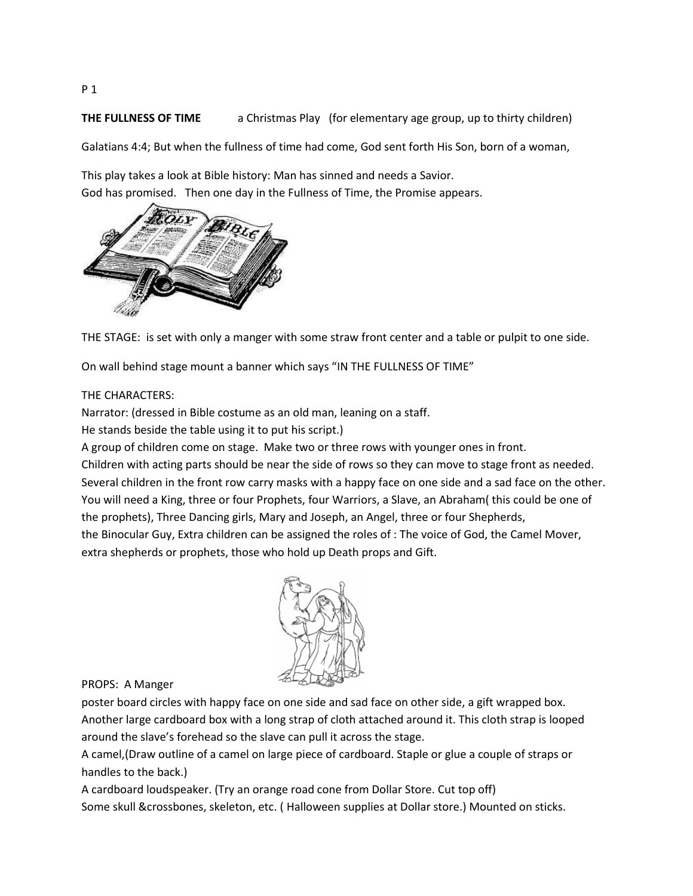**THE FULLNESS OF TIME** a Christmas Play (for elementary age group, up to thirty children)

Galatians 4:4; But when the fullness of time had come, God sent forth His Son, born of a woman,

This play takes a look at Bible history: Man has sinned and needs a Savior. God has promised. Then one day in the Fullness of Time, the Promise appears.



THE STAGE: is set with only a manger with some straw front center and a table or pulpit to one side.

On wall behind stage mount a banner which says "IN THE FULLNESS OF TIME"

### THE CHARACTERS:

Narrator: (dressed in Bible costume as an old man, leaning on a staff.

He stands beside the table using it to put his script.)

A group of children come on stage. Make two or three rows with younger ones in front.

Children with acting parts should be near the side of rows so they can move to stage front as needed. Several children in the front row carry masks with a happy face on one side and a sad face on the other. You will need a King, three or four Prophets, four Warriors, a Slave, an Abraham( this could be one of the prophets), Three Dancing girls, Mary and Joseph, an Angel, three or four Shepherds, the Binocular Guy, Extra children can be assigned the roles of : The voice of God, the Camel Mover,

extra shepherds or prophets, those who hold up Death props and Gift.



PROPS: A Manger

poster board circles with happy face on one side and sad face on other side, a gift wrapped box. Another large cardboard box with a long strap of cloth attached around it. This cloth strap is looped around the slave's forehead so the slave can pull it across the stage.

A camel,(Draw outline of a camel on large piece of cardboard. Staple or glue a couple of straps or handles to the back.)

A cardboard loudspeaker. (Try an orange road cone from Dollar Store. Cut top off) Some skull &crossbones, skeleton, etc. ( Halloween supplies at Dollar store.) Mounted on sticks.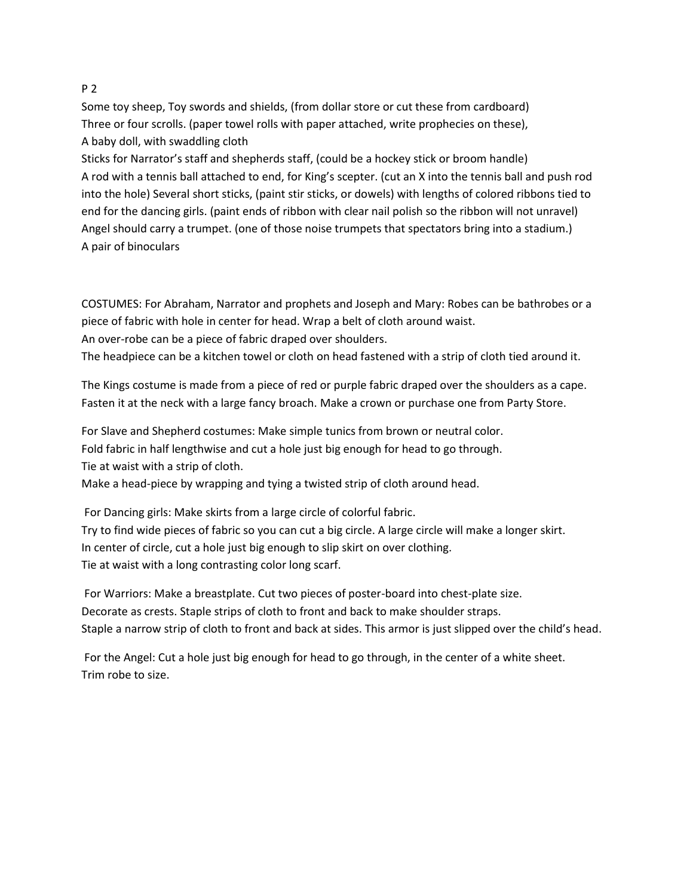### P 2

Some toy sheep, Toy swords and shields, (from dollar store or cut these from cardboard) Three or four scrolls. (paper towel rolls with paper attached, write prophecies on these), A baby doll, with swaddling cloth

Sticks for Narrator's staff and shepherds staff, (could be a hockey stick or broom handle) A rod with a tennis ball attached to end, for King's scepter. (cut an X into the tennis ball and push rod into the hole) Several short sticks, (paint stir sticks, or dowels) with lengths of colored ribbons tied to end for the dancing girls. (paint ends of ribbon with clear nail polish so the ribbon will not unravel) Angel should carry a trumpet. (one of those noise trumpets that spectators bring into a stadium.) A pair of binoculars

COSTUMES: For Abraham, Narrator and prophets and Joseph and Mary: Robes can be bathrobes or a piece of fabric with hole in center for head. Wrap a belt of cloth around waist. An over-robe can be a piece of fabric draped over shoulders.

The headpiece can be a kitchen towel or cloth on head fastened with a strip of cloth tied around it.

The Kings costume is made from a piece of red or purple fabric draped over the shoulders as a cape. Fasten it at the neck with a large fancy broach. Make a crown or purchase one from Party Store.

For Slave and Shepherd costumes: Make simple tunics from brown or neutral color.

Fold fabric in half lengthwise and cut a hole just big enough for head to go through.

Tie at waist with a strip of cloth.

Make a head-piece by wrapping and tying a twisted strip of cloth around head.

For Dancing girls: Make skirts from a large circle of colorful fabric.

Try to find wide pieces of fabric so you can cut a big circle. A large circle will make a longer skirt. In center of circle, cut a hole just big enough to slip skirt on over clothing. Tie at waist with a long contrasting color long scarf.

For Warriors: Make a breastplate. Cut two pieces of poster-board into chest-plate size. Decorate as crests. Staple strips of cloth to front and back to make shoulder straps. Staple a narrow strip of cloth to front and back at sides. This armor is just slipped over the child's head.

For the Angel: Cut a hole just big enough for head to go through, in the center of a white sheet. Trim robe to size.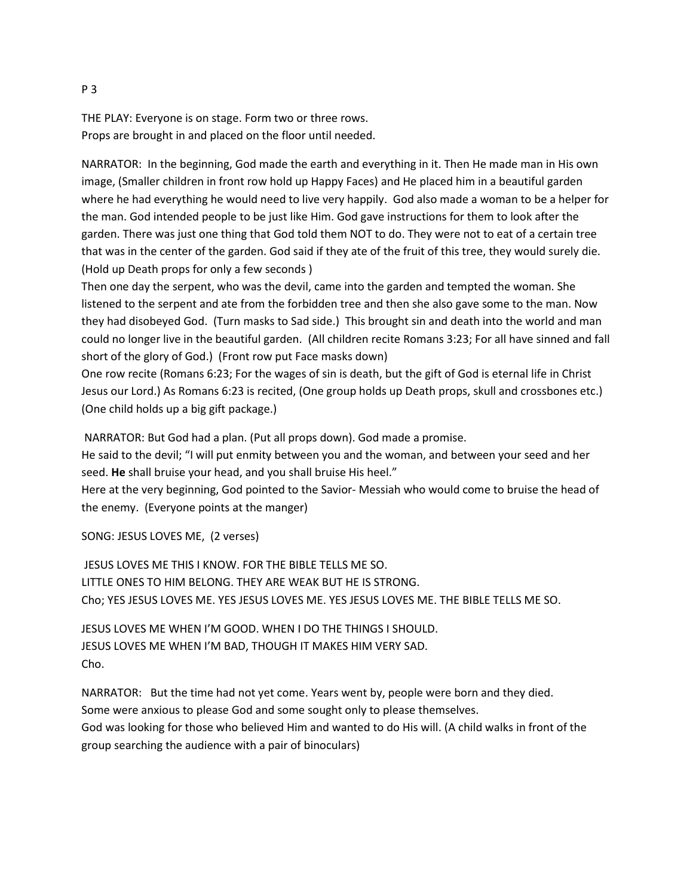THE PLAY: Everyone is on stage. Form two or three rows. Props are brought in and placed on the floor until needed.

NARRATOR: In the beginning, God made the earth and everything in it. Then He made man in His own image, (Smaller children in front row hold up Happy Faces) and He placed him in a beautiful garden where he had everything he would need to live very happily. God also made a woman to be a helper for the man. God intended people to be just like Him. God gave instructions for them to look after the garden. There was just one thing that God told them NOT to do. They were not to eat of a certain tree that was in the center of the garden. God said if they ate of the fruit of this tree, they would surely die. (Hold up Death props for only a few seconds )

Then one day the serpent, who was the devil, came into the garden and tempted the woman. She listened to the serpent and ate from the forbidden tree and then she also gave some to the man. Now they had disobeyed God. (Turn masks to Sad side.) This brought sin and death into the world and man could no longer live in the beautiful garden. (All children recite Romans 3:23; For all have sinned and fall short of the glory of God.) (Front row put Face masks down)

One row recite (Romans 6:23; For the wages of sin is death, but the gift of God is eternal life in Christ Jesus our Lord.) As Romans 6:23 is recited, (One group holds up Death props, skull and crossbones etc.) (One child holds up a big gift package.)

NARRATOR: But God had a plan. (Put all props down). God made a promise.

He said to the devil; "I will put enmity between you and the woman, and between your seed and her seed. **He** shall bruise your head, and you shall bruise His heel."

Here at the very beginning, God pointed to the Savior- Messiah who would come to bruise the head of the enemy. (Everyone points at the manger)

SONG: JESUS LOVES ME, (2 verses)

JESUS LOVES ME THIS I KNOW. FOR THE BIBLE TELLS ME SO. LITTLE ONES TO HIM BELONG. THEY ARE WEAK BUT HE IS STRONG. Cho; YES JESUS LOVES ME. YES JESUS LOVES ME. YES JESUS LOVES ME. THE BIBLE TELLS ME SO.

JESUS LOVES ME WHEN I'M GOOD. WHEN I DO THE THINGS I SHOULD. JESUS LOVES ME WHEN I'M BAD, THOUGH IT MAKES HIM VERY SAD. Cho.

NARRATOR: But the time had not yet come. Years went by, people were born and they died. Some were anxious to please God and some sought only to please themselves. God was looking for those who believed Him and wanted to do His will. (A child walks in front of the group searching the audience with a pair of binoculars)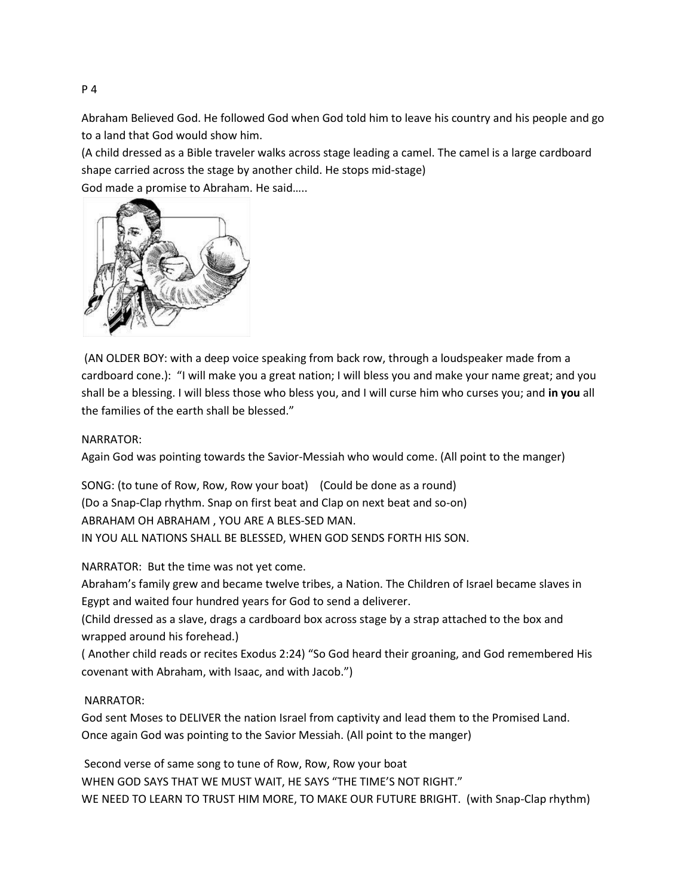Abraham Believed God. He followed God when God told him to leave his country and his people and go to a land that God would show him.

(A child dressed as a Bible traveler walks across stage leading a camel. The camel is a large cardboard shape carried across the stage by another child. He stops mid-stage)

God made a promise to Abraham. He said…..



(AN OLDER BOY: with a deep voice speaking from back row, through a loudspeaker made from a cardboard cone.): "I will make you a great nation; I will bless you and make your name great; and you shall be a blessing. I will bless those who bless you, and I will curse him who curses you; and **in you** all the families of the earth shall be blessed."

### NARRATOR:

Again God was pointing towards the Savior-Messiah who would come. (All point to the manger)

SONG: (to tune of Row, Row, Row your boat) (Could be done as a round) (Do a Snap-Clap rhythm. Snap on first beat and Clap on next beat and so-on) ABRAHAM OH ABRAHAM , YOU ARE A BLES-SED MAN. IN YOU ALL NATIONS SHALL BE BLESSED, WHEN GOD SENDS FORTH HIS SON.

NARRATOR: But the time was not yet come.

Abraham's family grew and became twelve tribes, a Nation. The Children of Israel became slaves in Egypt and waited four hundred years for God to send a deliverer.

(Child dressed as a slave, drags a cardboard box across stage by a strap attached to the box and wrapped around his forehead.)

( Another child reads or recites Exodus 2:24) "So God heard their groaning, and God remembered His covenant with Abraham, with Isaac, and with Jacob.")

# NARRATOR:

God sent Moses to DELIVER the nation Israel from captivity and lead them to the Promised Land. Once again God was pointing to the Savior Messiah. (All point to the manger)

Second verse of same song to tune of Row, Row, Row your boat WHEN GOD SAYS THAT WE MUST WAIT, HE SAYS "THE TIME'S NOT RIGHT." WE NEED TO LEARN TO TRUST HIM MORE, TO MAKE OUR FUTURE BRIGHT. (with Snap-Clap rhythm)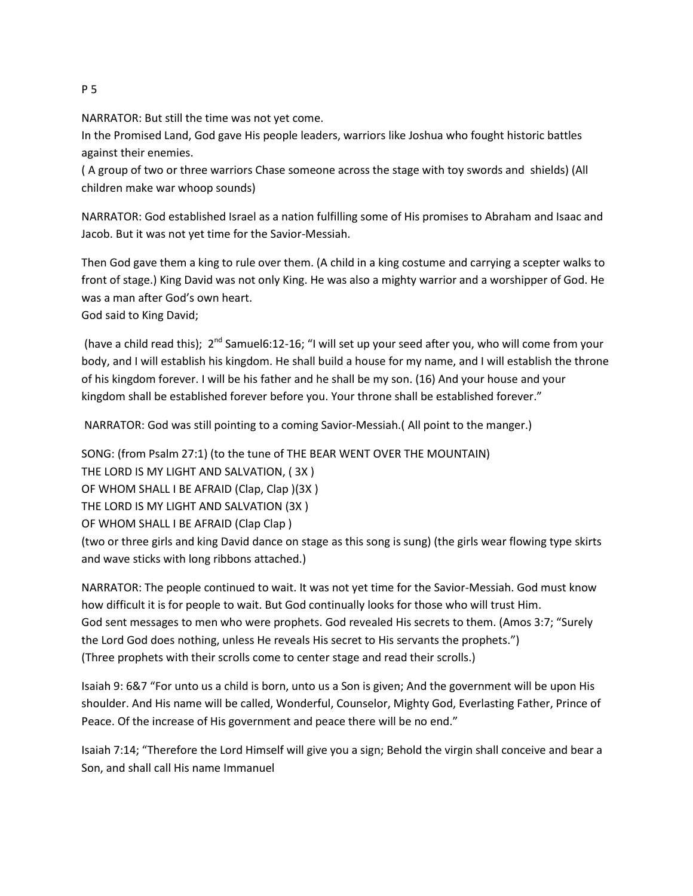# NARRATOR: But still the time was not yet come.

In the Promised Land, God gave His people leaders, warriors like Joshua who fought historic battles against their enemies.

( A group of two or three warriors Chase someone across the stage with toy swords and shields) (All children make war whoop sounds)

NARRATOR: God established Israel as a nation fulfilling some of His promises to Abraham and Isaac and Jacob. But it was not yet time for the Savior-Messiah.

Then God gave them a king to rule over them. (A child in a king costume and carrying a scepter walks to front of stage.) King David was not only King. He was also a mighty warrior and a worshipper of God. He was a man after God's own heart.

God said to King David;

(have a child read this); 2<sup>nd</sup> Samuel6:12-16; "I will set up your seed after you, who will come from your body, and I will establish his kingdom. He shall build a house for my name, and I will establish the throne of his kingdom forever. I will be his father and he shall be my son. (16) And your house and your kingdom shall be established forever before you. Your throne shall be established forever."

NARRATOR: God was still pointing to a coming Savior-Messiah.( All point to the manger.)

SONG: (from Psalm 27:1) (to the tune of THE BEAR WENT OVER THE MOUNTAIN) THE LORD IS MY LIGHT AND SALVATION, ( 3X ) OF WHOM SHALL I BE AFRAID (Clap, Clap )(3X ) THE LORD IS MY LIGHT AND SALVATION (3X ) OF WHOM SHALL I BE AFRAID (Clap Clap ) (two or three girls and king David dance on stage as this song is sung) (the girls wear flowing type skirts and wave sticks with long ribbons attached.)

NARRATOR: The people continued to wait. It was not yet time for the Savior-Messiah. God must know how difficult it is for people to wait. But God continually looks for those who will trust Him. God sent messages to men who were prophets. God revealed His secrets to them. (Amos 3:7; "Surely the Lord God does nothing, unless He reveals His secret to His servants the prophets.") (Three prophets with their scrolls come to center stage and read their scrolls.)

Isaiah 9: 6&7 "For unto us a child is born, unto us a Son is given; And the government will be upon His shoulder. And His name will be called, Wonderful, Counselor, Mighty God, Everlasting Father, Prince of Peace. Of the increase of His government and peace there will be no end."

Isaiah 7:14; "Therefore the Lord Himself will give you a sign; Behold the virgin shall conceive and bear a Son, and shall call His name Immanuel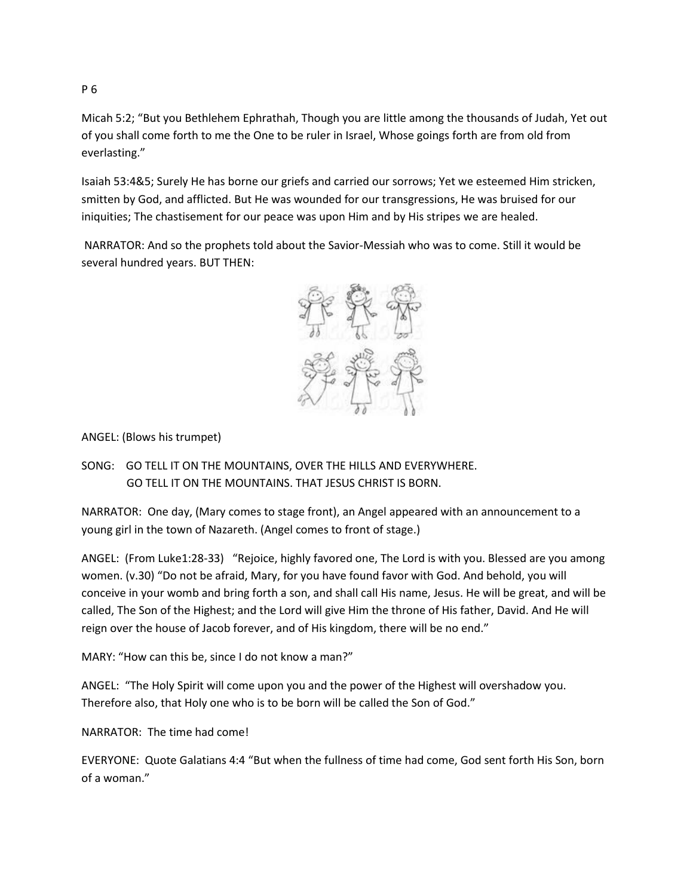Micah 5:2; "But you Bethlehem Ephrathah, Though you are little among the thousands of Judah, Yet out of you shall come forth to me the One to be ruler in Israel, Whose goings forth are from old from everlasting."

Isaiah 53:4&5; Surely He has borne our griefs and carried our sorrows; Yet we esteemed Him stricken, smitten by God, and afflicted. But He was wounded for our transgressions, He was bruised for our iniquities; The chastisement for our peace was upon Him and by His stripes we are healed.

NARRATOR: And so the prophets told about the Savior-Messiah who was to come. Still it would be several hundred years. BUT THEN:



ANGEL: (Blows his trumpet)

SONG: GO TELL IT ON THE MOUNTAINS, OVER THE HILLS AND EVERYWHERE. GO TELL IT ON THE MOUNTAINS. THAT JESUS CHRIST IS BORN.

NARRATOR: One day, (Mary comes to stage front), an Angel appeared with an announcement to a young girl in the town of Nazareth. (Angel comes to front of stage.)

ANGEL: (From Luke1:28-33) "Rejoice, highly favored one, The Lord is with you. Blessed are you among women. (v.30) "Do not be afraid, Mary, for you have found favor with God. And behold, you will conceive in your womb and bring forth a son, and shall call His name, Jesus. He will be great, and will be called, The Son of the Highest; and the Lord will give Him the throne of His father, David. And He will reign over the house of Jacob forever, and of His kingdom, there will be no end."

MARY: "How can this be, since I do not know a man?"

ANGEL: "The Holy Spirit will come upon you and the power of the Highest will overshadow you. Therefore also, that Holy one who is to be born will be called the Son of God."

NARRATOR: The time had come!

EVERYONE: Quote Galatians 4:4 "But when the fullness of time had come, God sent forth His Son, born of a woman."

P 6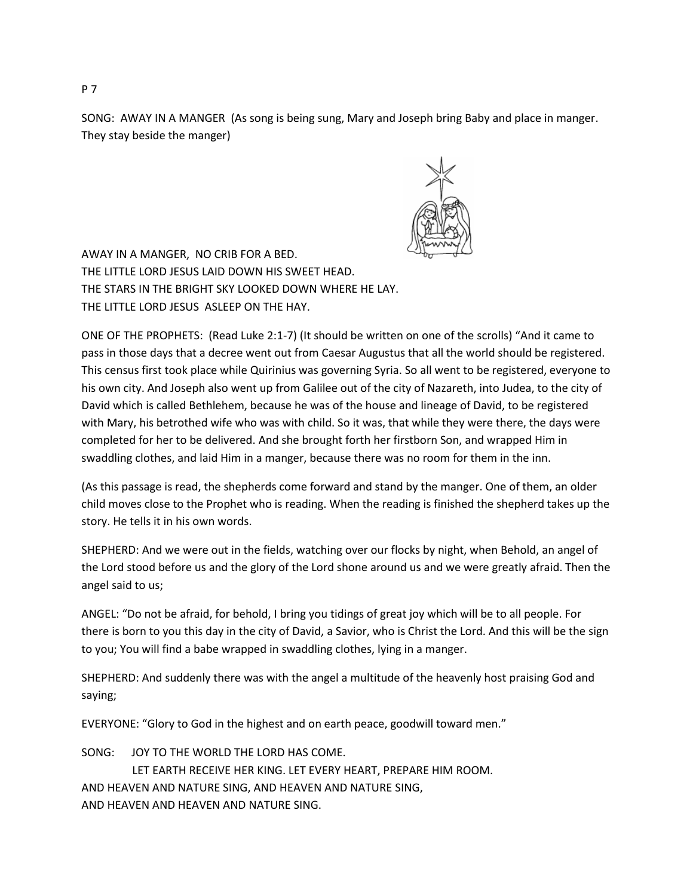SONG: AWAY IN A MANGER (As song is being sung, Mary and Joseph bring Baby and place in manger. They stay beside the manger)



AWAY IN A MANGER, NO CRIB FOR A BED. THE LITTLE LORD JESUS LAID DOWN HIS SWEET HEAD. THE STARS IN THE BRIGHT SKY LOOKED DOWN WHERE HE LAY. THE LITTLE LORD JESUS ASLEEP ON THE HAY.

ONE OF THE PROPHETS: (Read Luke 2:1-7) (It should be written on one of the scrolls) "And it came to pass in those days that a decree went out from Caesar Augustus that all the world should be registered. This census first took place while Quirinius was governing Syria. So all went to be registered, everyone to his own city. And Joseph also went up from Galilee out of the city of Nazareth, into Judea, to the city of David which is called Bethlehem, because he was of the house and lineage of David, to be registered with Mary, his betrothed wife who was with child. So it was, that while they were there, the days were completed for her to be delivered. And she brought forth her firstborn Son, and wrapped Him in swaddling clothes, and laid Him in a manger, because there was no room for them in the inn.

(As this passage is read, the shepherds come forward and stand by the manger. One of them, an older child moves close to the Prophet who is reading. When the reading is finished the shepherd takes up the story. He tells it in his own words.

SHEPHERD: And we were out in the fields, watching over our flocks by night, when Behold, an angel of the Lord stood before us and the glory of the Lord shone around us and we were greatly afraid. Then the angel said to us;

ANGEL: "Do not be afraid, for behold, I bring you tidings of great joy which will be to all people. For there is born to you this day in the city of David, a Savior, who is Christ the Lord. And this will be the sign to you; You will find a babe wrapped in swaddling clothes, lying in a manger.

SHEPHERD: And suddenly there was with the angel a multitude of the heavenly host praising God and saying;

EVERYONE: "Glory to God in the highest and on earth peace, goodwill toward men."

| SONG: JOY TO THE WORLD THE LORD HAS COME.                      |
|----------------------------------------------------------------|
| LET EARTH RECEIVE HER KING. LET EVERY HEART. PREPARE HIM ROOM. |
| AND HEAVEN AND NATURE SING. AND HEAVEN AND NATURE SING.        |
| AND HEAVEN AND HEAVEN AND NATURE SING.                         |

P 7